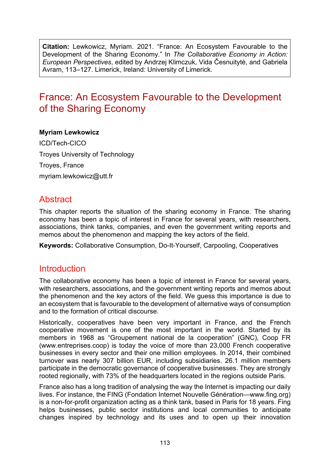**Citation:** Lewkowicz, Myriam. 2021. "France: An Ecosystem Favourable to the Development of the Sharing Economy." In *The Collaborative Economy in Action: European Perspectives*, edited by Andrzej Klimczuk, Vida Česnuitytė, and Gabriela Avram, 113–127. Limerick, Ireland: University of Limerick.

# France: An Ecosystem Favourable to the Development of the Sharing Economy

#### **Myriam Lewkowicz**

ICD/Tech-CICO Troyes University of Technology Troyes, France myriam.lewkowicz@utt.fr

### **Abstract**

This chapter reports the situation of the sharing economy in France. The sharing economy has been a topic of interest in France for several years, with researchers, associations, think tanks, companies, and even the government writing reports and memos about the phenomenon and mapping the key actors of the field.

**Keywords:** Collaborative Consumption, Do-It-Yourself, Carpooling, Cooperatives

### Introduction

The collaborative economy has been a topic of interest in France for several years, with researchers, associations, and the government writing reports and memos about the phenomenon and the key actors of the field. We guess this importance is due to an ecosystem that is favourable to the development of alternative ways of consumption and to the formation of critical discourse.

Historically, cooperatives have been very important in France, and the French cooperative movement is one of the most important in the world. Started by its members in 1968 as "Groupement national de la cooperation" (GNC), Coop FR [\(www.entreprises.coop\)](https://www.entreprises.coop/) is today the voice of more than 23,000 French cooperative businesses in every sector and their one million employees. In 2014, their combined turnover was nearly 307 billion EUR, including subsidiaries. 26.1 million members participate in the democratic governance of cooperative businesses. They are strongly rooted regionally, with 73% of the headquarters located in the regions outside Paris.

France also has a long tradition of analysing the way the Internet is impacting our daily lives. For instance, the FING (Fondation Internet Nouvelle Génération[—www.fing.org\)](http://www.fing.org/) is a non-for-profit organization acting as a think tank, based in Paris for 18 years. Fing helps businesses, public sector institutions and local communities to anticipate changes inspired by technology and its uses and to open up their innovation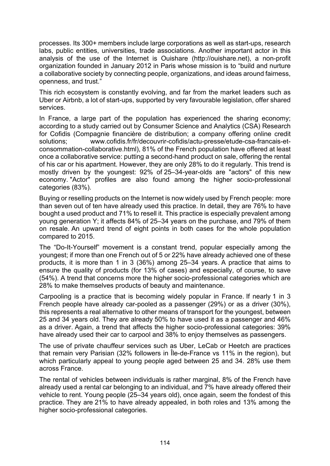processes. Its 300+ members include large corporations as well as start-ups, research labs, public entities, universities, trade associations. Another important actor in this analysis of the use of the Internet is Ouishare ([http://ouishare.net\)](http://ouishare.net/), a non-profit organization founded in January 2012 in Paris whose mission is to "build and nurture a collaborative society by connecting people, organizations, and ideas around fairness, openness, and trust."

This rich ecosystem is constantly evolving, and far from the market leaders such as Uber or Airbnb, a lot of start-ups, supported by very favourable legislation, offer shared services.

In France, a large part of the population has experienced the sharing economy; according to a study carried out by Consumer Science and Analytics (CSA) Research for Cofidis (Compagnie financière de distribution; a company offering online credit solutions; [www.cofidis.fr/fr/decouvrir-cofidis/actu-presse/etude-csa-francais-et](https://www.cofidis.fr/fr/decouvrir-cofidis/actu-presse/etude-csa-francais-et-consommation-collaborative.html)consommation-[collaborative.html\)](https://www.cofidis.fr/fr/decouvrir-cofidis/actu-presse/etude-csa-francais-et-consommation-collaborative.html), 81% of the French population have offered at least once a collaborative service: putting a second-hand product on sale, offering the rental of his car or his apartment. However, they are only 28% to do it regularly. This trend is mostly driven by the youngest: 92% of 25–34-year-olds are "actors" of this new economy. "Actor" profiles are also found among the higher socio-professional categories (83%).

Buying or reselling products on the Internet is now widely used by French people: more than seven out of ten have already used this practice. In detail, they are 76% to have bought a used product and 71% to resell it. This practice is especially prevalent among young generation Y; it affects 84% of 25–34 years on the purchase, and 79% of them on resale. An upward trend of eight points in both cases for the whole population compared to 2015.

The "Do-It-Yourself" movement is a constant trend, popular especially among the youngest; if more than one French out of 5 or 22% have already achieved one of these products, it is more than 1 in 3 (36%) among 25–34 years. A practice that aims to ensure the quality of products (for 13% of cases) and especially, of course, to save (54%). A trend that concerns more the higher socio-professional categories which are 28% to make themselves products of beauty and maintenance.

Carpooling is a practice that is becoming widely popular in France. If nearly 1 in 3 French people have already car-pooled as a passenger (29%) or as a driver (30%), this represents a real alternative to other means of transport for the youngest, between 25 and 34 years old. They are already 50% to have used it as a passenger and 46% as a driver. Again, a trend that affects the higher socio-professional categories: 39% have already used their car to carpool and 38% to enjoy themselves as passengers.

The use of private chauffeur services such as Uber, LeCab or Heetch are practices that remain very Parisian (32% followers in Île-de-France vs 11% in the region), but which particularly appeal to young people aged between 25 and 34. 28% use them across France.

The rental of vehicles between individuals is rather marginal, 8% of the French have already used a rental car belonging to an individual, and 7% have already offered their vehicle to rent. Young people (25–34 years old), once again, seem the fondest of this practice. They are 21% to have already appealed, in both roles and 13% among the higher socio-professional categories.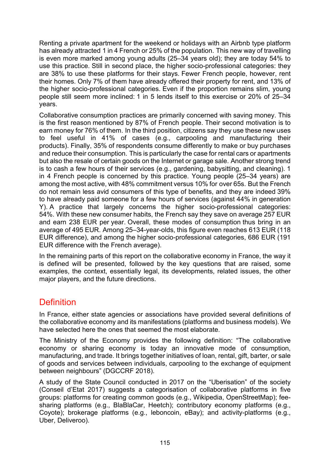Renting a private apartment for the weekend or holidays with an Airbnb type platform has already attracted 1 in 4 French or 25% of the population. This new way of travelling is even more marked among young adults (25–34 years old); they are today 54% to use this practice. Still in second place, the higher socio-professional categories: they are 38% to use these platforms for their stays. Fewer French people, however, rent their homes. Only 7% of them have already offered their property for rent, and 13% of the higher socio-professional categories. Even if the proportion remains slim, young people still seem more inclined: 1 in 5 lends itself to this exercise or 20% of 25–34 years.

Collaborative consumption practices are primarily concerned with saving money. This is the first reason mentioned by 87% of French people. Their second motivation is to earn money for 76% of them. In the third position, citizens say they use these new uses to feel useful in 41% of cases (e.g., carpooling and manufacturing their products). Finally, 35% of respondents consume differently to make or buy purchases and reduce their consumption. This is particularly the case for rental cars or apartments but also the resale of certain goods on the Internet or garage sale. Another strong trend is to cash a few hours of their services (e.g., gardening, babysitting, and cleaning). 1 in 4 French people is concerned by this practice. Young people (25–34 years) are among the most active, with 48% commitment versus 10% for over 65s. But the French do not remain less avid consumers of this type of benefits, and they are indeed 39% to have already paid someone for a few hours of services (against 44% in generation Y). A practice that largely concerns the higher socio-professional categories: 54%. With these new consumer habits, the French say they save on average 257 EUR and earn 238 EUR per year. Overall, these modes of consumption thus bring in an average of 495 EUR. Among 25–34-year-olds, this figure even reaches 613 EUR (118 EUR difference), and among the higher socio-professional categories, 686 EUR (191 EUR difference with the French average).

In the remaining parts of this report on the collaborative economy in France, the way it is defined will be presented, followed by the key questions that are raised, some examples, the context, essentially legal, its developments, related issues, the other major players, and the future directions.

### **Definition**

In France, either state agencies or associations have provided several definitions of the collaborative economy and its manifestations (platforms and business models). We have selected here the ones that seemed the most elaborate.

The Ministry of the Economy provides the following definition: "The collaborative economy or sharing economy is today an innovative mode of consumption, manufacturing, and trade. It brings together initiatives of loan, rental, gift, barter, or sale of goods and services between individuals, carpooling to the exchange of equipment between neighbours" (DGCCRF 2018).

A study of the State Council conducted in 2017 on the "Uberisation" of the society (Conseil d'Etat 2017) suggests a categorisation of collaborative platforms in five groups: platforms for creating common goods (e.g., Wikipedia, OpenStreetMap); feesharing platforms (e.g., BlaBlaCar, Heetch); contributory economy platforms (e.g., Coyote); brokerage platforms (e.g., leboncoin, eBay); and activity-platforms (e.g., Uber, Deliveroo).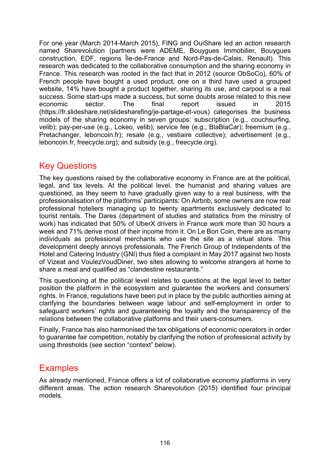For one year (March 2014-March 2015), FING and OuiShare led an action research named Sharevolution (partners were ADEME, Bouygues Immobilier, Bouygues construction, EDF, regions Île-de-France and Nord-Pas-de-Calais, Renault). This research was dedicated to the collaborative consumption and the sharing economy in France. This research was rooted in the fact that in 2012 (source ObSoCo), 60% of French people have bought a used product, one on a third have used a grouped website, 14% have bought a product together, sharing its use, and carpool is a real success. Some start-ups made a success, but some doubts arose related to this new economic sector. The final report issued in 2015 [\(https://fr.slideshare.net/slidesharefing/je-partage-et-vous\)](https://fr.slideshare.net/slidesharefing/je-partage-et-vous) categorises the business models of the sharing economy in seven groups: subscription (e.g., couchsurfing, velib); pay-per-use (e.g., Lokeo, velib); service fee (e.g., BlaBlaCar); freemium (e.g., Pretachanger, leboncoin.fr); resale (e.g., vestiaire collective); advertisement (e.g., leboncoin.fr, freecycle.org); and subsidy (e.g., freecycle.org).

## Key Questions

The key questions raised by the collaborative economy in France are at the political, legal, and tax levels. At the political level, the humanist and sharing values are questioned, as they seem to have gradually given way to a real business, with the professionalisation of the platforms' participants: On Airbnb, some owners are now real professional hoteliers managing up to twenty apartments exclusively dedicated to tourist rentals. The Dares (department of studies and statistics from the ministry of work) has indicated that 50% of UberX drivers in France work more than 30 hours a week and 71% derive most of their income from it. On Le Bon Coin, there are as many individuals as professional merchants who use the site as a virtual store. This development deeply annoys professionals. The French Group of Independents of the Hotel and Catering Industry (GNI) thus filed a complaint in May 2017 against two hosts of Vizeat and VoulezVoudDiner, two sites allowing to welcome strangers at home to share a meal and qualified as "clandestine restaurants."

This questioning at the political level relates to questions at the legal level to better position the platform in the ecosystem and guarantee the workers and consumers' rights. In France, regulations have been put in place by the public authorities aiming at clarifying the boundaries between wage labour and self-employment in order to safeguard workers' rights and guaranteeing the loyalty and the transparency of the relations between the collaborative platforms and their users-consumers.

Finally, France has also harmonised the tax obligations of economic operators in order to guarantee fair competition, notably by clarifying the notion of professional activity by using thresholds (see section "context" below).

### **Examples**

As already mentioned, France offers a lot of collaborative economy platforms in very different areas. The action research Sharevolution (2015) identified four principal models.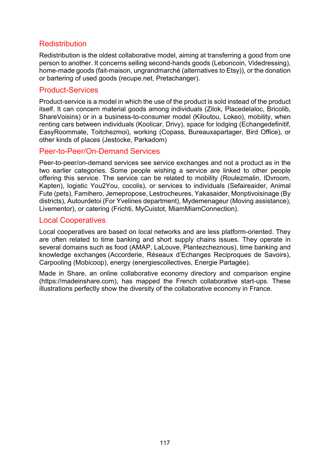### **Redistribution**

Redistribution is the oldest collaborative model, aiming at transferring a good from one person to another. It concerns selling second-hands goods ([Leboncoin,](https://www.leboncoin.fr/) [Videdressing\)](https://www.videdressing.com/), home-made goods [\(fait-maison,](https://www.fait-maison.com/) [ungrandmarché](https://www.ungrandmarche.fr/) (alternatives to Etsy)), or the donation or bartering of used goods ([recupe.net,](http://recupe.net/) [Pretachanger\)](https://www.pretachanger.fr/).

#### Product-Services

Product-service is a model in which the use of the product is sold instead of the product itself. It can concern material goods among individuals [\(Zilok,](https://fr.zilok.com/) [Placedelaloc,](https://www.placedelaloc.com/) [Bricolib](https://www.bricolib.net/), [ShareVoisins](https://sharevoisins.fr/)) or in a business-to-consumer model [\(Kiloutou,](https://www.kiloutou.fr/) [Lokeo](https://www.lokeo.fr/)), mobility, when renting cars between individuals [\(Koolicar,](https://www.koolicar.com/) [Drivy](https://www.drivy.com/)), space for lodging [\(Echangedefinitif,](https://www.echangedefinitif.com/) [EasyRoommate,](https://www.appartager.com/) [Toitchezmoi\)](https://toitchezmoi.com/), working [\(Copass](https://copass.org/), Bureauxapartager, [Bird Office](https://www.bird-office.com/)), or other kinds of places [\(Jestocke,](https://jestocke.com/) [Parkadom\)](https://www.parkadom.com/)

#### Peer-to-Peer/On-Demand Services

Peer-to-peer/on-demand services see service exchanges and not a product as in the two earlier categories. Some people wishing a service are linked to other people offering this service. The service can be related to mobility (Roulezmalin, [IDvroom](https://www.idvroom.com/), [Kapten\)](https://www.kapten.com/fr/), logistic [You2You,](https://you2you.fr/) [cocolis\)](https://www.cocolis.fr/), or services to individuals [\(Sefaireaider,](http://www.sefaireaider.com/) [Animal](https://www.animal-fute.com/)  [Fute](https://www.animal-fute.com/) (pets), [Famihero,](https://www.famihero.com/) Jemepropose, [Lestrocheures,](https://www.lestrocheures.fr/) [Yakasaider,](https://www.yakasaider.fr/) [Monptivoisinage](https://www.monptivoisinage.com/) (By districts), [Autourdetoi](https://www.autourdetoi.com/) (For Yvelines department), [Mydemenageur](https://www.mydemenageur.com/) (Moving assistance), [Livementor\)](https://www.livementor.com/), or catering [\(Frichti,](https://frichti.co/) [MyCuistot,](https://www.mycuistot.fr/) [MiamMiamConnection\)](https://miam-miam-connection.com/).

#### Local Cooperatives

Local cooperatives are based on local networks and are less platform-oriented. They are often related to time banking and short supply chains issues. They operate in several domains such as food [\(AMAP,](http://www.reseau-amap.org/) [LaLouve,](https://cooplalouve.fr/) [Plantezcheznous\)](https://www.plantezcheznous.com/), time banking and knowledge exchange[s](https://www.plantezcheznous.com/) [\(Accorderie,](http://www.accorderie.fr/) [Réseaux d'Echanges Reciproques de Savoirs](https://www.rers-asso.org/)), Carpooling ([Mobicoop](https://www.mobicoop.fr/article/mobicoop)), energy [\(energiescollectives,](https://energiescollectives.fr/) [Energie Partagée\)](https://energie-partagee.org/).

Made in Share, an online collaborative economy directory and comparison engine [\(https://madeinshare.com\)](https://madeinshare.com/), has mapped the French collaborative start-ups. These illustrations perfectly show the diversity of the collaborative economy in France.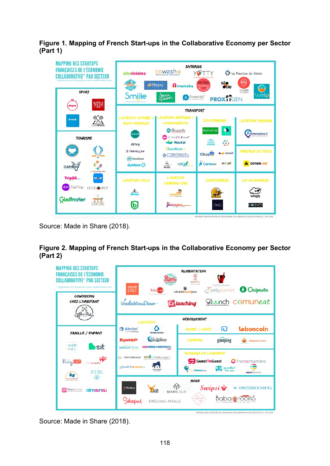**Figure 1. Mapping of French Start-ups in the Collaborative Economy per Sector (Part 1)**



Source: Made in Share (2018).

#### **Figure 2. Mapping of French Start-ups in the Collaborative Economy per Sector (Part 2)**



Source: Made in Share (2018).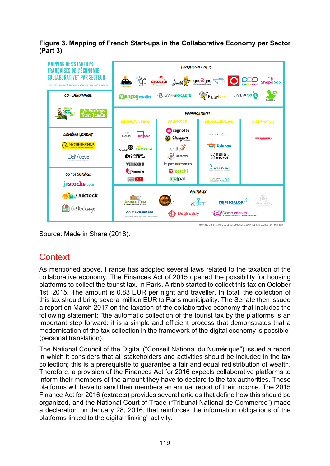**Figure 3. Mapping of French Start-ups in the Collaborative Economy per Sector (Part 3)**



Source: Made in Share (2018).

## **Context**

As mentioned above, France has adopted several laws related to the taxation of the collaborative economy. The Finances Act of 2015 opened the possibility for housing platforms to collect the tourist tax. In Paris, Airbnb started to collect this tax on October 1st, 2015. The amount is 0,83 EUR per night and traveller. In total, the collection of this tax should bring several million EUR to Paris municipality. The Senate then issued a report on March 2017 on the taxation of the collaborative economy that includes the following statement: "the automatic collection of the tourist tax by the platforms is an important step forward: it is a simple and efficient process that demonstrates that a modernisation of the tax collection in the framework of the digital economy is possible" (personal translation).

The National Council of the Digital ("Conseil National du Numérique") issued a report in which it considers that all stakeholders and activities should be included in the tax collection; this is a prerequisite to guarantee a fair and equal redistribution of wealth. Therefore, a provision of the Finances Act for 2016 expects collaborative platforms to inform their members of the amount they have to declare to the tax authorities. These platforms will have to send their members an annual report of their income. The 2015 Finance Act for 2016 (extracts) provides several articles that define how this should be organized, and the National Court of Trade ("Tribunal National de Commerce") made a declaration on January 28, 2016, that reinforces the information obligations of the platforms linked to the digital "linking" activity.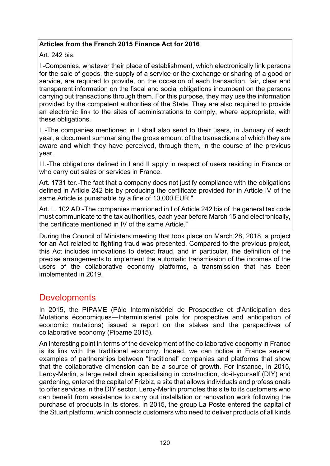#### **Articles from the French 2015 Finance Act for 2016**

Art. 242 bis.

I.-Companies, whatever their place of establishment, which electronically link persons for the sale of goods, the supply of a service or the exchange or sharing of a good or service, are required to provide, on the occasion of each transaction, fair, clear and transparent information on the fiscal and social obligations incumbent on the persons carrying out transactions through them. For this purpose, they may use the information provided by the competent authorities of the State. They are also required to provide an electronic link to the sites of administrations to comply, where appropriate, with these obligations.

II.-The companies mentioned in I shall also send to their users, in January of each year, a document summarising the gross amount of the transactions of which they are aware and which they have perceived, through them, in the course of the previous year.

III.-The obligations defined in I and II apply in respect of users residing in France or who carry out sales or services in France.

Art. 1731 ter.-The fact that a company does not justify compliance with the obligations defined in Article 242 bis by producing the certificate provided for in Article IV of the same Article is punishable by a fine of 10,000 EUR."

Art. L. 102 AD.-The companies mentioned in I of Article 242 bis of the general tax code must communicate to the tax authorities, each year before March 15 and electronically, the certificate mentioned in IV of the same Article."

During the Council of Ministers meeting that took place on March 28, 2018, a project for an Act related to fighting fraud was presented. Compared to the previous project, this Act includes innovations to detect fraud, and in particular, the definition of the precise arrangements to implement the automatic transmission of the incomes of the users of the collaborative economy platforms, a transmission that has been implemented in 2019.

### **Developments**

In 2015, the PIPAME (Pôle Interministériel de Prospective et d'Anticipation des Mutations économiques—Interministerial pole for prospective and anticipation of economic mutations) issued a report on the stakes and the perspectives of collaborative economy (Pipame 2015).

An interesting point in terms of the development of the collaborative economy in France is its link with the traditional economy. Indeed, we can notice in France several examples of partnerships between "traditional" companies and platforms that show that the collaborative dimension can be a source of growth. For instance, in 2015, Leroy-Merlin, a large retail chain specialising in construction, do-it-yourself (DIY) and gardening, entered the capital of Frizbiz, a site that allows individuals and professionals to offer services in the DIY sector. Leroy-Merlin promotes this site to its customers who can benefit from assistance to carry out installation or renovation work following the purchase of products in its stores. In 2015, the group La Poste entered the capital of the Stuart platform, which connects customers who need to deliver products of all kinds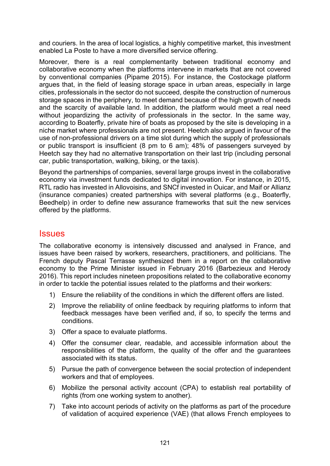and couriers. In the area of local logistics, a highly competitive market, this investment enabled La Poste to have a more diversified service offering.

Moreover, there is a real complementarity between traditional economy and collaborative economy when the platforms intervene in markets that are not covered by conventional companies (Pipame 2015). For instance, the Costockage platform argues that, in the field of leasing storage space in urban areas, especially in large cities, professionals in the sector do not succeed, despite the construction of numerous storage spaces in the periphery, to meet demand because of the high growth of needs and the scarcity of available land. In addition, the platform would meet a real need without jeopardizing the activity of professionals in the sector. In the same way, according to Boaterfly, private hire of boats as proposed by the site is developing in a niche market where professionals are not present. Heetch also argued in favour of the use of non-professional drivers on a time slot during which the supply of professionals or public transport is insufficient (8 pm to 6 am); 48% of passengers surveyed by Heetch say they had no alternative transportation on their last trip (including personal car, public transportation, walking, biking, or the taxis).

Beyond the partnerships of companies, several large groups invest in the collaborative economy via investment funds dedicated to digital innovation. For instance, in 2015, RTL radio has invested in Allovoisins, and SNCf invested in Ouicar, and Maif or Allianz (insurance companies) created partnerships with several platforms (e.g., Boaterfly, Beedhelp) in order to define new assurance frameworks that suit the new services offered by the platforms.

### **Issues**

The collaborative economy is intensively discussed and analysed in France, and issues have been raised by workers, researchers, practitioners, and politicians. The French deputy Pascal Terrasse synthesized them in a report on the collaborative economy to the Prime Minister issued in February 2016 (Barbezieux and Herody 2016). This report includes nineteen propositions related to the collaborative economy in order to tackle the potential issues related to the platforms and their workers:

- 1) Ensure the reliability of the conditions in which the different offers are listed.
- 2) Improve the reliability of online feedback by requiring platforms to inform that feedback messages have been verified and, if so, to specify the terms and conditions.
- 3) Offer a space to evaluate platforms.
- 4) Offer the consumer clear, readable, and accessible information about the responsibilities of the platform, the quality of the offer and the guarantees associated with its status.
- 5) Pursue the path of convergence between the social protection of independent workers and that of employees.
- 6) Mobilize the personal activity account (CPA) to establish real portability of rights (from one working system to another).
- 7) Take into account periods of activity on the platforms as part of the procedure of validation of acquired experience (VAE) (that allows French employees to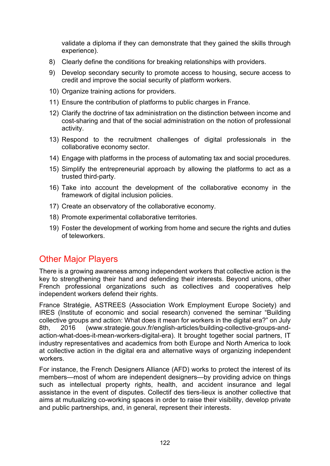validate a diploma if they can demonstrate that they gained the skills through experience).

- 8) Clearly define the conditions for breaking relationships with providers.
- 9) Develop secondary security to promote access to housing, secure access to credit and improve the social security of platform workers.
- 10) Organize training actions for providers.
- 11) Ensure the contribution of platforms to public charges in France.
- 12) Clarify the doctrine of tax administration on the distinction between income and cost-sharing and that of the social administration on the notion of professional activity.
- 13) Respond to the recruitment challenges of digital professionals in the collaborative economy sector.
- 14) Engage with platforms in the process of automating tax and social procedures.
- 15) Simplify the entrepreneurial approach by allowing the platforms to act as a trusted third-party.
- 16) Take into account the development of the collaborative economy in the framework of digital inclusion policies.
- 17) Create an observatory of the collaborative economy.
- 18) Promote experimental collaborative territories.
- 19) Foster the development of working from home and secure the rights and duties of teleworkers.

## Other Major Players

There is a growing awareness among independent workers that collective action is the key to strengthening their hand and defending their interests. Beyond unions, other French professional organizations such as collectives and cooperatives help independent workers defend their rights.

France Stratégie, ASTREES (Association Work Employment Europe Society) and IRES (Institute of economic and social research) convened the seminar "Building collective groups and action: What does it mean for workers in the digital era?" on July 8th, 2016 [\(www.strategie.gouv.fr/english-](https://www.strategie.gouv.fr/english-articles/building-collective-groups-and-action-what-does-it-mean-workers-digital-era)articles/building-collective-groups-and[action-what-does-it-mean-workers-digital-era\)](https://www.strategie.gouv.fr/english-articles/building-collective-groups-and-action-what-does-it-mean-workers-digital-era). It brought together social partners, IT industry representatives and academics from both Europe and North America to look at collective action in the digital era and alternative ways of organizing independent workers.

For instance, the French Designers Alliance (AFD) works to protect the interest of its members—most of whom are independent designers—by providing advice on things such as intellectual property rights, health, and accident insurance and legal assistance in the event of disputes. Collectif des tiers-lieux is another collective that aims at mutualizing co-working spaces in order to raise their visibility, develop private and public partnerships, and, in general, represent their interests.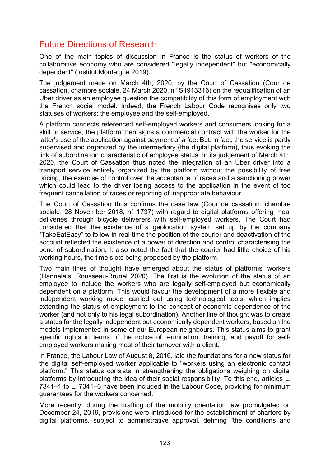## Future Directions of Research

One of the main topics of discussion in France is the status of workers of the collaborative economy who are considered "legally independent" but "economically dependent" (Institut Montaigne 2019).

The judgement made on March 4th, 2020, by the Court of Cassation (Cour de cassation, chambre sociale, 24 March 2020, n° S1913316) on the requalification of an Uber driver as an employee question the compatibility of this form of employment with the French social model. Indeed, the French Labour Code recognises only two statuses of workers: the employee and the self-employed.

A platform connects referenced self-employed workers and consumers looking for a skill or service; the platform then signs a commercial contract with the worker for the latter's use of the application against payment of a fee. But, in fact, the service is partly supervised and organized by the intermediary (the digital platform), thus evoking the link of subordination characteristic of employee status. In its judgement of March 4th, 2020, the Court of Cassation thus noted the integration of an Uber driver into a transport service entirely organized by the platform without the possibility of free pricing, the exercise of control over the acceptance of races and a sanctioning power which could lead to the driver losing access to the application in the event of too frequent cancellation of races or reporting of inappropriate behaviour.

The Court of Cassation thus confirms the case law (Cour de cassation, chambre sociale, 28 November 2018, n° 1737) with regard to digital platforms offering meal deliveries through bicycle deliverers with self-employed workers. The Court had considered that the existence of a geolocation system set up by the company "TakeEatEasy" to follow in real-time the position of the courier and deactivation of the account reflected the existence of a power of direction and control characterising the bond of subordination. It also noted the fact that the courier had little choice of his working hours, the time slots being proposed by the platform.

Two main lines of thought have emerged about the status of platforms' workers (Hannelais, Rousseau-Brunel 2020). The first is the evolution of the status of an employee to include the workers who are legally self-employed but economically dependent on a platform. This would favour the development of a more flexible and independent working model carried out using technological tools, which implies extending the status of employment to the concept of economic dependence of the worker (and not only to his legal subordination). Another line of thought was to create a status for the legally independent but economically dependent workers, based on the models implemented in some of our European neighbours. This status aims to grant specific rights in terms of the notice of termination, training, and payoff for selfemployed workers making most of their turnover with a client.

In France, the Labour Law of August 8, 2016, laid the foundations for a new status for the digital self-employed worker applicable to "workers using an electronic contact platform." This status consists in strengthening the obligations weighing on digital platforms by introducing the idea of their social responsibility. To this end, articles L. 7341–1 to L. 7341–6 have been included in the Labour Code, providing for minimum guarantees for the workers concerned.

More recently, during the drafting of the mobility orientation law promulgated on December 24, 2019, provisions were introduced for the establishment of charters by digital platforms, subject to administrative approval, defining "the conditions and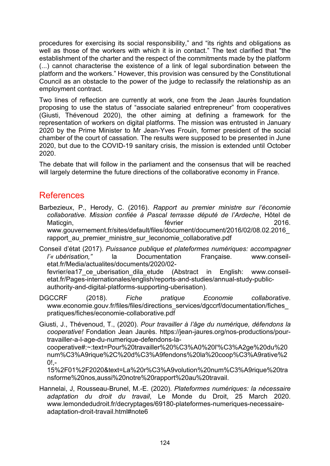procedures for exercising its social responsibility," and "its rights and obligations as well as those of the workers with which it is in contact." The text clarified that "the establishment of the charter and the respect of the commitments made by the platform (...) cannot characterise the existence of a link of legal subordination between the platform and the workers." However, this provision was censured by the Constitutional Council as an obstacle to the power of the judge to reclassify the relationship as an employment contract.

Two lines of reflection are currently at work, one from the Jean Jaurès foundation proposing to use the status of "associate salaried entrepreneur" from cooperatives (Giusti, Thévenoud 2020), the other aiming at defining a framework for the representation of workers on digital platforms. The mission was entrusted in January 2020 by the Prime Minister to Mr Jean-Yves Frouin, former president of the social chamber of the court of cassation. The results were supposed to be presented in June 2020, but due to the COVID-19 sanitary crisis, the mission is extended until October 2020.

The debate that will follow in the parliament and the consensus that will be reached will largely determine the future directions of the collaborative economy in France.

### References

Barbezieux, P., Herody, C. (2016). *Rapport au premier ministre sur l'économie collaborative. Mission confiée à Pascal terrasse député de l'Ardeche*, Hôtel de Maticgin, and the contract of the février that the contract of the contract of the contract of the contract of the contract of the contract of the contract of the contract of the contract of the contract of the contract of [www.gouvernement.fr/sites/default/files/document/document/2016/02/08.02.2016\\_](http://www.gouvernement.fr/sites/default/files/document/document/2016/02/08.02.2016_rapport_au_premier_ministre_sur_leconomie_collaborative.pdf) rapport au premier ministre sur leconomie collaborative.pdf

Conseil d'état (2017). *Puissance publique et plateformes numériques: accompagner l'« ubérisation,"* la Documentation Française. [www.conseil](https://www.conseil-etat.fr/Media/actualites/documents/2020/02-fevrier/ea17_ce_uberisation_dila_etude)[etat.fr/Media/actualites/documents/2020/02](https://www.conseil-etat.fr/Media/actualites/documents/2020/02-fevrier/ea17_ce_uberisation_dila_etude) fevrier/ea17 ce uberisation dila etude (Abstract in English: [www.conseil](https://www.conseil-etat.fr/Pages-internationales/english/reports-and-studies/annual-study-public-authority-and-digital-platforms-supporting-uberisation)[etat.fr/Pages-internationales/english/reports-and-studies/annual-study-](https://www.conseil-etat.fr/Pages-internationales/english/reports-and-studies/annual-study-public-authority-and-digital-platforms-supporting-uberisation)public-

[authority-and-digital-platforms-supporting-](https://www.conseil-etat.fr/Pages-internationales/english/reports-and-studies/annual-study-public-authority-and-digital-platforms-supporting-uberisation)uberisation).

DGCCRF (2018). *Fiche pratique Economie collaborative*. [www.economie.gouv.fr/files/files/directions\\_services/dgccrf/documentation/fiches\\_](https://www.economie.gouv.fr/files/files/directions_services/dgccrf/documentation/fiches_pratiques/fiches/economie-collaborative.pdf) [pratiques/fiches/economie-](https://www.economie.gouv.fr/files/files/directions_services/dgccrf/documentation/fiches_pratiques/fiches/economie-collaborative.pdf)collaborative.pdf

Giusti, J., Thévenoud, T., (2020). *Pour travailler à l'âge du numérique, défendons la cooperative!* Fondation Jean Jaurès. [https://jean-jaures.org/nos-productions/pour](https://jean-jaures.org/nos-productions/pour-travailler-a-l-age-du-numerique-defendons-la-cooperative#:%7E:text=Pour%20travailler%20%C3%A0%20l)[travailler-a-l-age-du-numerique-defendons-la](https://jean-jaures.org/nos-productions/pour-travailler-a-l-age-du-numerique-defendons-la-cooperative#:%7E:text=Pour%20travailler%20%C3%A0%20l)[cooperative#:~:text=Pour%20travailler%20%C3%A0%20l'%C3%A2ge%20du%20](https://jean-jaures.org/nos-productions/pour-travailler-a-l-age-du-numerique-defendons-la-cooperative#:%7E:text=Pour%20travailler%20%C3%A0%20l) [num%C3%A9rique%2C%20d%C3%A9fendons%20la%20coop%C3%A9rative%2](https://jean-jaures.org/nos-productions/pour-travailler-a-l-age-du-numerique-defendons-la-cooperative#:%7E:text=Pour%20travailler%20%C3%A0%20l)  $0! -$ 

[15%2F01%2F2020&text=La%20r%C3%A9volution%20num%C3%A9rique%20tra](https://jean-jaures.org/nos-productions/pour-travailler-a-l-age-du-numerique-defendons-la-cooperative#:%7E:text=Pour%20travailler%20%C3%A0%20l) [nsforme%20nos,aussi%20notre%20rapport%20au%20travail.](https://jean-jaures.org/nos-productions/pour-travailler-a-l-age-du-numerique-defendons-la-cooperative#:%7E:text=Pour%20travailler%20%C3%A0%20l)

Hannelai, J, Rousseau-Brunel, M.-E. (2020). *Plateformes numériques: la nécessaire adaptation du droit du travail*, Le Monde du Droit, 25 March 2020. [www.lemondedudroit.fr/decryptages/69180-plateformes-numeriques-necessaire](https://www.lemondedudroit.fr/decryptages/69180-plateformes-numeriques-necessaire-adaptation-droit-travail.html#note6)[adaptation-droit-travail.html#note6](https://www.lemondedudroit.fr/decryptages/69180-plateformes-numeriques-necessaire-adaptation-droit-travail.html#note6)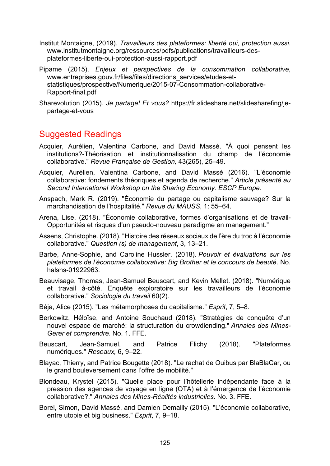Institut Montaigne, (2019). *Travailleurs des plateformes: liberté oui, protection aussi*. www.[institutmontaigne.org/ressources/pdfs/publications/travailleurs](https://www.institutmontaigne.org/ressources/pdfs/publications/travailleurs-des-plateformes-liberte-oui-protection-aussi-rapport.pdf)-desplateformes-liberte[-oui-protection-aussi-rapport.pdf](https://www.institutmontaigne.org/ressources/pdfs/publications/travailleurs-des-plateformes-liberte-oui-protection-aussi-rapport.pdf)

Pipame (2015). *Enjeux et perspectives de la consommation collaborative*, [www.entreprises.gouv.fr/files/files/directions\\_services/etudes-et](https://www.entreprises.gouv.fr/files/files/directions_services/etudes-et-statistiques/prospective/Numerique/2015-07-Consommation-collaborative-Rapport-final.pdf)[statistiques/prospective/Numerique/2015-07-Consommation-](https://www.entreprises.gouv.fr/files/files/directions_services/etudes-et-statistiques/prospective/Numerique/2015-07-Consommation-collaborative-Rapport-final.pdf)collaborative-[Rapport-final.pdf](https://www.entreprises.gouv.fr/files/files/directions_services/etudes-et-statistiques/prospective/Numerique/2015-07-Consommation-collaborative-Rapport-final.pdf)

Sharevolution (2015). *Je partage! Et vous?* [https://fr.slideshare.net/slidesharefing/je](https://fr.slideshare.net/slidesharefing/je-partage-et-vous)[partage-et-vous](https://fr.slideshare.net/slidesharefing/je-partage-et-vous)

## Suggested Readings

- Acquier, Aurélien, Valentina Carbone, and David Massé. "À quoi pensent les institutions?-Théorisation et institutionnalisation du champ de l'économie collaborative." *Revue Française de Gestion,* 43(265), 25–49.
- Acquier, Aurélien, Valentina Carbone, and David Massé (2016). "L'économie collaborative: fondements théoriques et agenda de recherche." *Article présenté au Second International Workshop on the Sharing Economy. ESCP Europe*.
- Anspach, Mark R. (2019). "Économie du partage ou capitalisme sauvage? Sur la marchandisation de l'hospitalité." *Revue du MAUSS*, 1: 55–64.
- Arena, Lise. (2018). "Économie collaborative, formes d'organisations et de travail-Opportunités et risques d'un pseudo-nouveau paradigme en management."
- Assens, Christophe. (2018). "Histoire des réseaux sociaux de l'ère du troc à l'économie collaborative." *Question (s) de management*, 3, 13–21.
- Barbe, Anne-Sophie, and Caroline Hussler. (2018). *Pouvoir et évaluations sur les plateformes de l'économie collaborative: Big Brother et le concours de beauté*. No. halshs-01922963.
- Beauvisage, Thomas, Jean-Samuel Beuscart, and Kevin Mellet. (2018). "Numérique et travail à-côté. Enquête exploratoire sur les travailleurs de l'économie collaborative." *Sociologie du travail* 60(2).
- Béja, Alice (2015). "Les métamorphoses du capitalisme." *Esprit*, 7, 5–8.
- Berkowitz, Héloïse, and Antoine Souchaud (2018). "Stratégies de conquête d'un nouvel espace de marché: la structuration du crowdlending." *Annales des Mines-Gerer et comprendre*. No. 1. FFE.
- Beuscart, Jean-Samuel, and Patrice Flichy (2018). "Plateformes numériques." *Reseaux,* 6, 9–22.
- Blayac, Thierry, and Patrice Bougette (2018). "Le rachat de Ouibus par BlaBlaCar, ou le grand bouleversement dans l'offre de mobilité."
- Blondeau, Krystel (2015). "Quelle place pour l'hôtellerie indépendante face à la pression des agences de voyage en ligne (OTA) et à l'émergence de l'économie collaborative?." *Annales des Mines-Réalités industrielles*. No. 3. FFE.
- Borel, Simon, David Massé, and Damien Demailly (2015). "L'économie collaborative, entre utopie et big business." *Esprit*, 7, 9–18.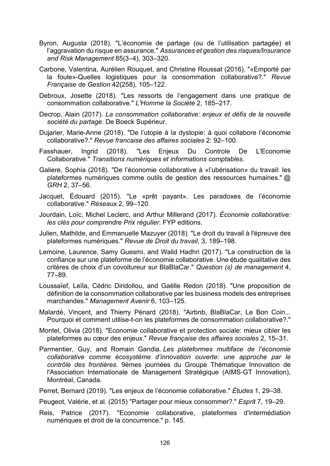- Byron, Augusta (2018). "L'économie de partage (ou de l'utilisation partagée) et l'aggravation du risque en assurance." *Assurances et gestion des risques/Insurance and Risk Management* 85(3–4), 303–320.
- Carbone, Valentina, Aurélien Rouquet, and Christine Roussat (2016). "«Emporté par la foule»-Quelles logistiques pour la consommation collaborative?." *Revue Française de Gestion* 42(258), 105–122.
- Debroux, Josette (2018). "Les ressorts de l'engagement dans une pratique de consommation collaborative." *L'Homme la Société* 2, 185–217.
- Decrop, Alain (2017). *La consommation collaborative: enjeux et défis de la nouvelle société du partage*. De Boeck Supérieur.
- Dujarier, Marie-Anne (2018). "De l'utopie à la dystopie: à quoi collabore l'économie collaborative?." *Revue francaise des affaires sociales* 2: 92–100.
- Fasshauer, Ingrid (2018). "Les Enjeux Du Controle De L'Economie Collaborative." *Transitions numériques et informations comptables*.
- Galiere, Sophia (2018). "De l'économie collaborative à «l'ubérisation» du travail: les plateformes numériques comme outils de gestion des ressources humaines." *@ GRH* 2, 37–56.
- Jacquet, Édouard (2015). "Le «prêt payant». Les paradoxes de l'économie collaborative." *Réseaux* 2, 99–120.
- Jourdain, Loïc, Michel Leclerc, and Arthur Millerand (2017). *Économie collaborative: les clés pour comprendre Prix régulier*. FYP editions.
- Julien, Mathilde, and Emmanuelle Mazuyer (2018). "Le droit du travail à l'épreuve des plateformes numériques." *Revue de Droit du travail*, 3, 189–198.
- Lemoine, Laurence, Samy Guesmi, and Walid Hadhri (2017). "La construction de la confiance sur une plateforme de l'économie collaborative. Une étude qualitative des critères de choix d'un covoitureur sur BlaBlaCar." *Question (s) de management* 4, 77–89.
- Loussaïef, Leïla, Cédric Diridollou, and Gaëlle Redon (2018). "Une proposition de définition de la consommation collaborative par les business models des entreprises marchandes." *Management Avenir* 6, 103–125.
- Malardé, Vincent, and Thierry Pénard (2018). "Airbnb, BlaBlaCar, Le Bon Coin... Pourquoi et comment utilise-t-on les plateformes de consommation collaborative?."
- Montel, Olivia (2018). "Economie collaborative et protection sociale: mieux cibler les plateformes au cœur des enjeux." *Revue française des affaires sociales* 2, 15–31.
- Parmentier, Guy, and Romain Gandia. *Les plateformes multiface de l'économie collaborative comme écosystème d'innovation ouverte: une approche par le contrôle des frontières*. 9èmes journées du Groupe Thématique Innovation de l'Association Internationale de Management Stratégique (AIMS-GT Innovation), Montréal, Canada.
- Perret, Bernard (2019). "Les enjeux de l'économie collaborative." *Études* 1, 29–38.
- Peugeot, Valérie, et al. (2015) "Partager pour mieux consommer?." *Esprit* 7, 19–29.
- Reis, Patrice (2017). "Economie collaborative, plateformes d'intermédiation numériques et droit de la concurrence." p. 145.